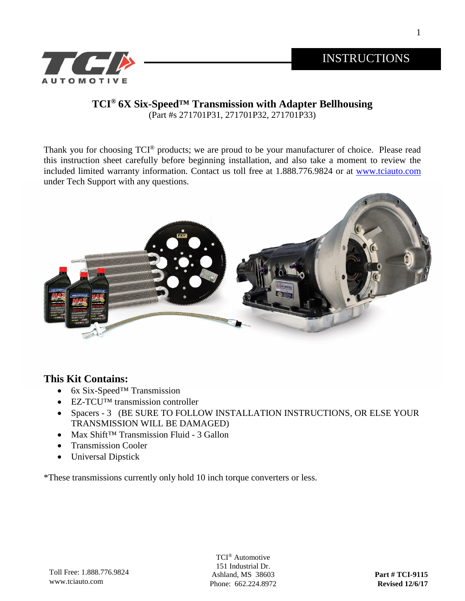1



# **TCI® 6X Six-Speed™ Transmission with Adapter Bellhousing**

(Part #s 271701P31, 271701P32, 271701P33)

Thank you for choosing  $TCI<sup>®</sup>$  products; we are proud to be your manufacturer of choice. Please read this instruction sheet carefully before beginning installation, and also take a moment to review the included limited warranty information. Contact us toll free at 1.888.776.9824 or at [www.tciauto.com](http://www.tciauto.com/) under Tech Support with any questions.



#### **This Kit Contains:**

- 6x Six-Speed™ Transmission
- EZ-TCUTM transmission controller
- Spacers 3 (BE SURE TO FOLLOW INSTALLATION INSTRUCTIONS, OR ELSE YOUR TRANSMISSION WILL BE DAMAGED)
- Max Shift™ Transmission Fluid 3 Gallon
- Transmission Cooler
- Universal Dipstick

\*These transmissions currently only hold 10 inch torque converters or less.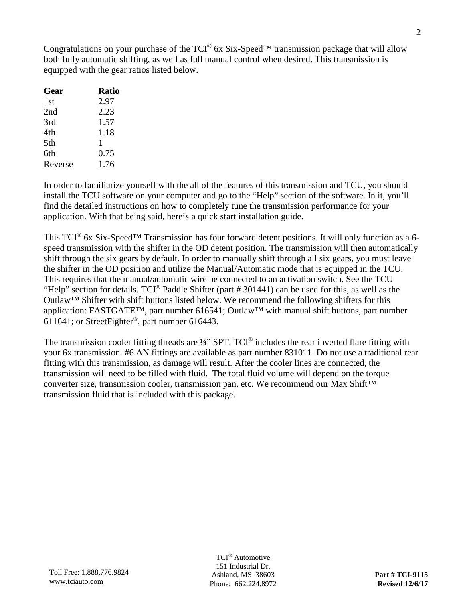Congratulations on your purchase of the TCI® 6x Six-Speed™ transmission package that will allow both fully automatic shifting, as well as full manual control when desired. This transmission is equipped with the gear ratios listed below.

| <b>Ratio</b> |
|--------------|
| 2.97         |
| 2.23         |
| 1.57         |
| 1.18         |
| 1            |
| 0.75         |
| 1.76         |
|              |

In order to familiarize yourself with the all of the features of this transmission and TCU, you should install the TCU software on your computer and go to the "Help" section of the software. In it, you'll find the detailed instructions on how to completely tune the transmission performance for your application. With that being said, here's a quick start installation guide.

This TCI® 6x Six-Speed™ Transmission has four forward detent positions. It will only function as a 6 speed transmission with the shifter in the OD detent position. The transmission will then automatically shift through the six gears by default. In order to manually shift through all six gears, you must leave the shifter in the OD position and utilize the Manual/Automatic mode that is equipped in the TCU. This requires that the manual/automatic wire be connected to an activation switch. See the TCU "Help" section for details.  $TCI^{\circledast}$  Paddle Shifter (part # 301441) can be used for this, as well as the Outlaw™ Shifter with shift buttons listed below. We recommend the following shifters for this application: FASTGATE™, part number 616541; Outlaw™ with manual shift buttons, part number 611641; or StreetFighter®, part number 616443.

The transmission cooler fitting threads are ¼" SPT. TCI<sup>®</sup> includes the rear inverted flare fitting with your 6x transmission. #6 AN fittings are available as part number 831011. Do not use a traditional rear fitting with this transmission, as damage will result. After the cooler lines are connected, the transmission will need to be filled with fluid. The total fluid volume will depend on the torque converter size, transmission cooler, transmission pan, etc. We recommend our Max Shift™ transmission fluid that is included with this package.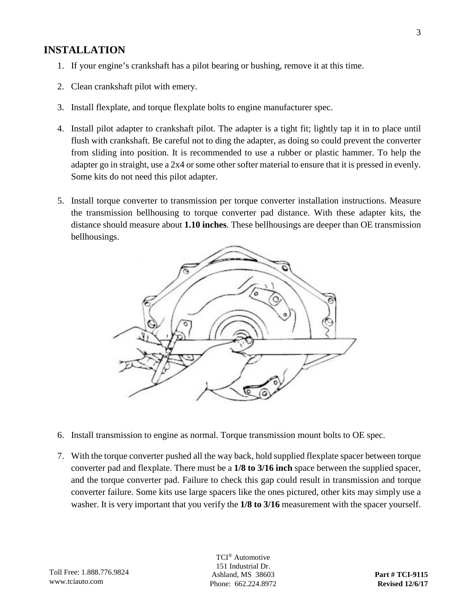#### **INSTALLATION**

- 1. If your engine's crankshaft has a pilot bearing or bushing, remove it at this time.
- 2. Clean crankshaft pilot with emery.
- 3. Install flexplate, and torque flexplate bolts to engine manufacturer spec.
- 4. Install pilot adapter to crankshaft pilot. The adapter is a tight fit; lightly tap it in to place until flush with crankshaft. Be careful not to ding the adapter, as doing so could prevent the converter from sliding into position. It is recommended to use a rubber or plastic hammer. To help the adapter go in straight, use a 2x4 or some other softer material to ensure that it is pressed in evenly. Some kits do not need this pilot adapter.
- 5. Install torque converter to transmission per torque converter installation instructions. Measure the transmission bellhousing to torque converter pad distance. With these adapter kits, the distance should measure about **1.10 inches**. These bellhousings are deeper than OE transmission bellhousings.



- 6. Install transmission to engine as normal. Torque transmission mount bolts to OE spec.
- 7. With the torque converter pushed all the way back, hold supplied flexplate spacer between torque converter pad and flexplate. There must be a **1/8 to 3/16 inch** space between the supplied spacer, and the torque converter pad. Failure to check this gap could result in transmission and torque converter failure. Some kits use large spacers like the ones pictured, other kits may simply use a washer. It is very important that you verify the **1/8 to 3/16** measurement with the spacer yourself.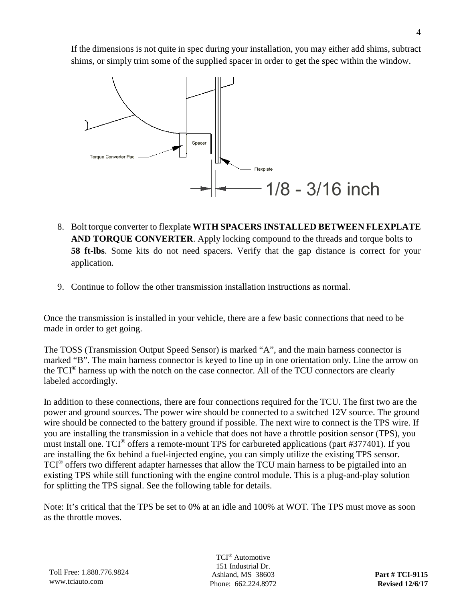If the dimensions is not quite in spec during your installation, you may either add shims, subtract shims, or simply trim some of the supplied spacer in order to get the spec within the window.



- 8. Bolt torque converter to flexplate **WITH SPACERS INSTALLED BETWEEN FLEXPLATE AND TORQUE CONVERTER**. Apply locking compound to the threads and torque bolts to **58 ft-lbs**. Some kits do not need spacers. Verify that the gap distance is correct for your application.
- 9. Continue to follow the other transmission installation instructions as normal.

Once the transmission is installed in your vehicle, there are a few basic connections that need to be made in order to get going.

The TOSS (Transmission Output Speed Sensor) is marked "A", and the main harness connector is marked "B". The main harness connector is keyed to line up in one orientation only. Line the arrow on the TCI® harness up with the notch on the case connector. All of the TCU connectors are clearly labeled accordingly.

In addition to these connections, there are four connections required for the TCU. The first two are the power and ground sources. The power wire should be connected to a switched 12V source. The ground wire should be connected to the battery ground if possible. The next wire to connect is the TPS wire. If you are installing the transmission in a vehicle that does not have a throttle position sensor (TPS), you must install one. TCI® offers a remote-mount TPS for carbureted applications (part #377401). If you are installing the 6x behind a fuel-injected engine, you can simply utilize the existing TPS sensor. TCI® offers two different adapter harnesses that allow the TCU main harness to be pigtailed into an existing TPS while still functioning with the engine control module. This is a plug-and-play solution for splitting the TPS signal. See the following table for details.

Note: It's critical that the TPS be set to 0% at an idle and 100% at WOT. The TPS must move as soon as the throttle moves.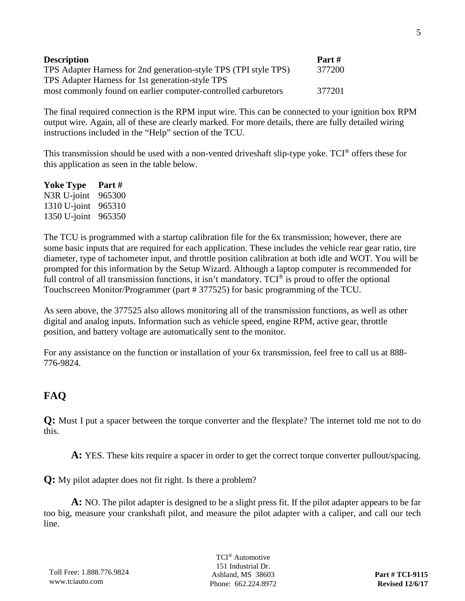| <b>Description</b>                                               | Part # |
|------------------------------------------------------------------|--------|
| TPS Adapter Harness for 2nd generation-style TPS (TPI style TPS) | 377200 |
| TPS Adapter Harness for 1st generation-style TPS                 |        |
| most commonly found on earlier computer-controlled carburetors   | 377201 |

The final required connection is the RPM input wire. This can be connected to your ignition box RPM output wire. Again, all of these are clearly marked. For more details, there are fully detailed wiring instructions included in the "Help" section of the TCU.

This transmission should be used with a non-vented driveshaft slip-type yoke. TCI® offers these for this application as seen in the table below.

| Yoke Type       | Part # |
|-----------------|--------|
| N3R U-joint     | 965300 |
| $1310 U$ -joint | 965310 |
| $1350 U$ -joint | 965350 |

The TCU is programmed with a startup calibration file for the 6x transmission; however, there are some basic inputs that are required for each application. These includes the vehicle rear gear ratio, tire diameter, type of tachometer input, and throttle position calibration at both idle and WOT. You will be prompted for this information by the Setup Wizard. Although a laptop computer is recommended for full control of all transmission functions, it isn't mandatory. TCI<sup>®</sup> is proud to offer the optional Touchscreen Monitor/Programmer (part # 377525) for basic programming of the TCU.

As seen above, the 377525 also allows monitoring all of the transmission functions, as well as other digital and analog inputs. Information such as vehicle speed, engine RPM, active gear, throttle position, and battery voltage are automatically sent to the monitor.

For any assistance on the function or installation of your 6x transmission, feel free to call us at 888- 776-9824.

## **FAQ**

**Q:** Must I put a spacer between the torque converter and the flexplate? The internet told me not to do this.

**A:** YES. These kits require a spacer in order to get the correct torque converter pullout/spacing.

**Q:** My pilot adapter does not fit right. Is there a problem?

**A:** NO. The pilot adapter is designed to be a slight press fit. If the pilot adapter appears to be far too big, measure your crankshaft pilot, and measure the pilot adapter with a caliper, and call our tech line.